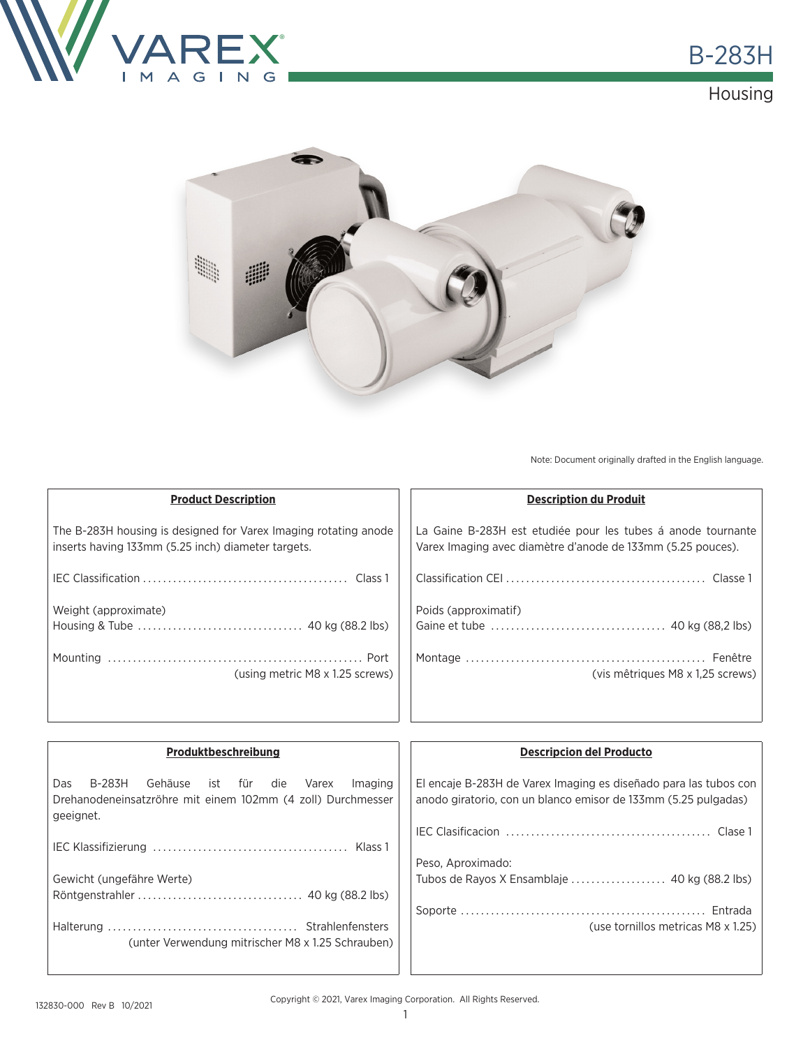





Note: Document originally drafted in the English language.

| <b>Product Description</b>                                      | <b>Description du Produit</b>                                |
|-----------------------------------------------------------------|--------------------------------------------------------------|
| The B-283H housing is designed for Varex Imaging rotating anode | La Gaine B-283H est etudiée pour les tubes à anode tournante |
| inserts having 133mm (5.25 inch) diameter targets.              | Varex Imaging avec diamètre d'anode de 133mm (5.25 pouces).  |
|                                                                 |                                                              |
| Weight (approximate)                                            | Poids (approximatif)                                         |
|                                                                 |                                                              |
|                                                                 |                                                              |
| (using metric M8 x 1.25 screws)                                 | (vis mêtriques M8 x 1,25 screws)                             |
|                                                                 |                                                              |

| Produktbeschreibung                                                                                                                  | <b>Descripcion del Producto</b>                                                                                                    |
|--------------------------------------------------------------------------------------------------------------------------------------|------------------------------------------------------------------------------------------------------------------------------------|
| Gehäuse ist für die<br>B-283H<br>Das<br>Varex<br>Imaging<br>Drehanodeneinsatzröhre mit einem 102mm (4 zoll) Durchmesser<br>geeignet. | El encaje B-283H de Varex Imaging es diseñado para las tubos con<br>anodo giratorio, con un blanco emisor de 133mm (5.25 pulgadas) |
|                                                                                                                                      |                                                                                                                                    |
|                                                                                                                                      | Peso, Aproximado:                                                                                                                  |
| Gewicht (ungefähre Werte)                                                                                                            |                                                                                                                                    |
|                                                                                                                                      |                                                                                                                                    |
|                                                                                                                                      |                                                                                                                                    |
| (unter Verwendung mitrischer M8 x 1.25 Schrauben)                                                                                    | (use tornillos metricas M8 x 1.25)                                                                                                 |
|                                                                                                                                      |                                                                                                                                    |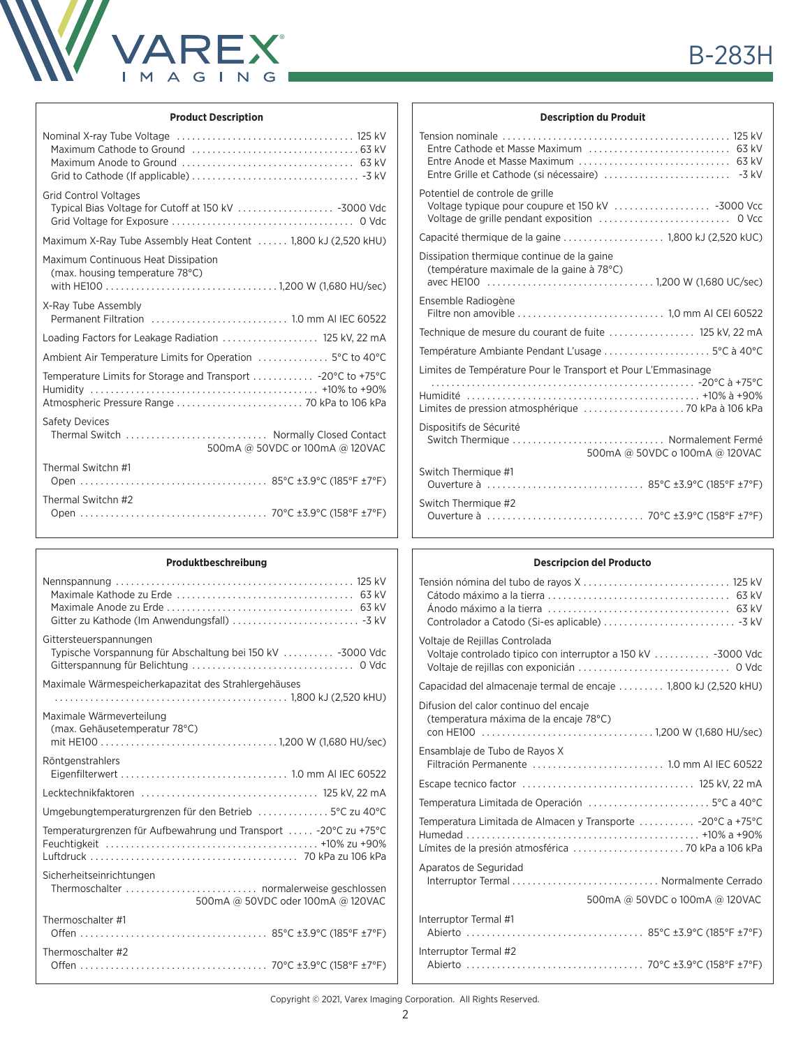

#### **Product Description**

| <b>Grid Control Voltages</b>                                           |
|------------------------------------------------------------------------|
| Maximum X-Ray Tube Assembly Heat Content  1,800 kJ (2,520 kHU)         |
| Maximum Continuous Heat Dissipation<br>(max. housing temperature 78°C) |
| X-Ray Tube Assembly                                                    |
| Loading Factors for Leakage Radiation  125 kV, 22 mA                   |
| Ambient Air Temperature Limits for Operation  5°C to 40°C              |
|                                                                        |
| <b>Safety Devices</b><br>500mA @ 50VDC or 100mA @ 120VAC               |
| Thermal Switchn #1                                                     |
| Thermal Switchn #2                                                     |

# **Produktbeschreibung**

| Gittersteuerspannungen<br>Typische Vorspannung für Abschaltung bei 150 kV  -3000 Vdc |
|--------------------------------------------------------------------------------------|
| Maximale Wärmespeicherkapazitat des Strahlergehäuses                                 |
|                                                                                      |
| Maximale Wärmeverteilung<br>(max. Gehäusetemperatur 78°C)                            |
|                                                                                      |
| Röntgenstrahlers                                                                     |
|                                                                                      |
| Umgebungtemperaturgrenzen für den Betrieb  5°C zu 40°C                               |
| Temperaturgrenzen für Aufbewahrung und Transport  -20°C zu +75°C                     |
| Sicherheitseinrichtungen                                                             |
| 500mA @ 50VDC oder 100mA @ 120VAC                                                    |
| Thermoschalter #1                                                                    |
| Thermoschalter #2                                                                    |
|                                                                                      |

## **B-283H**

#### **Description du Produit**

| Potentiel de controle de grille                                                                  |
|--------------------------------------------------------------------------------------------------|
|                                                                                                  |
| Dissipation thermique continue de la gaine<br>(température maximale de la gaine à 78°C)          |
| Ensemble Radiogène                                                                               |
| Technique de mesure du courant de fuite  125 kV, 22 mA                                           |
| Température Ambiante Pendant L'usage  5°C à 40°C                                                 |
| Limites de Température Pour le Transport et Pour L'Emmasinage                                    |
| Dispositifs de Sécurité<br>Switch Thermique  Normalement Fermé<br>500mA @ 50VDC o 100mA @ 120VAC |
| Switch Thermique #1                                                                              |
| Switch Thermique #2                                                                              |

#### **Descripcion del Producto**

| Voltaje de Rejillas Controlada<br>Voltaje controlado tipico con interruptor a 150 kV  -3000 Vdc |
|-------------------------------------------------------------------------------------------------|
| Capacidad del almacenaje termal de encaje  1,800 kJ (2,520 kHU)                                 |
| Difusion del calor continuo del encaje<br>(temperatura máxima de la encaje 78°C)                |
| Ensamblaje de Tubo de Rayos X                                                                   |
|                                                                                                 |
| Temperatura Limitada de Operación 5°C a 40°C                                                    |
| Temperatura Limitada de Almacen y Transporte  -20°C a +75°C                                     |
| Aparatos de Seguridad                                                                           |
| 500mA @ 50VDC o 100mA @ 120VAC                                                                  |
| Interruptor Termal #1                                                                           |
| Interruptor Termal #2                                                                           |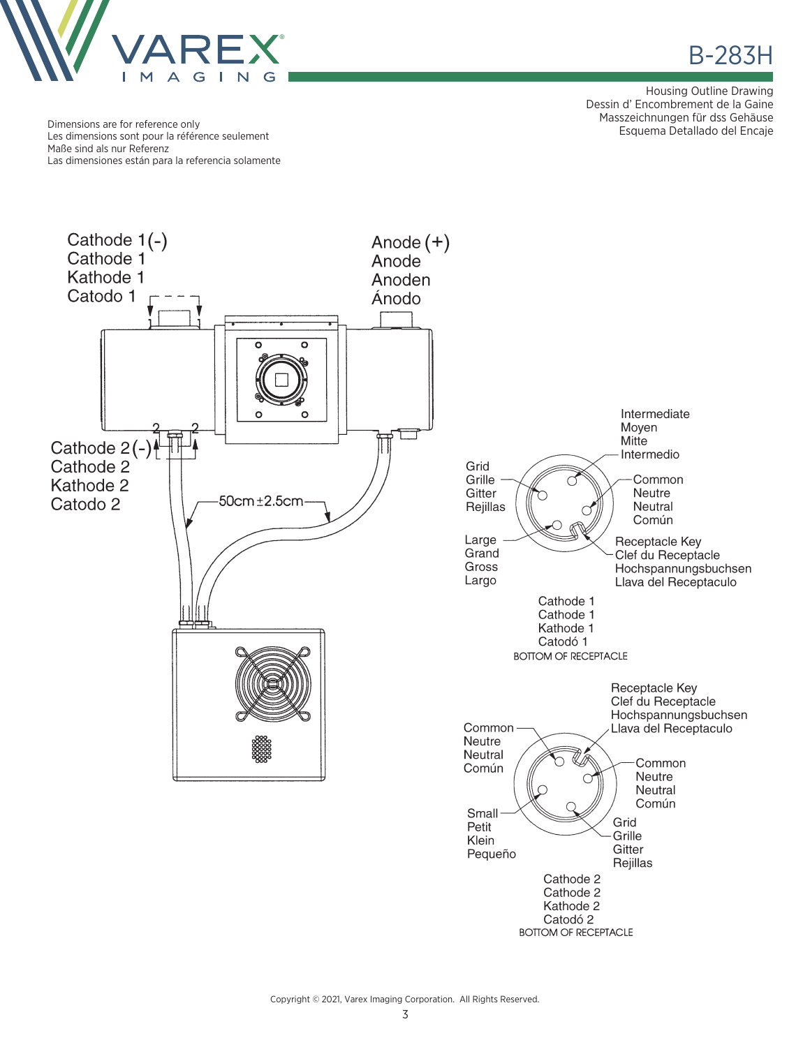

Housing Outline Drawing Dessin d' Encombrement de la Gaine Masszeichnungen für dss Gehäuse

Esquema Detallado del Encaje Dimensions are for reference only Les dimensions sont pour la référence seulement Maße sind als nur Referenz Las dimensiones están para la referencia solamente

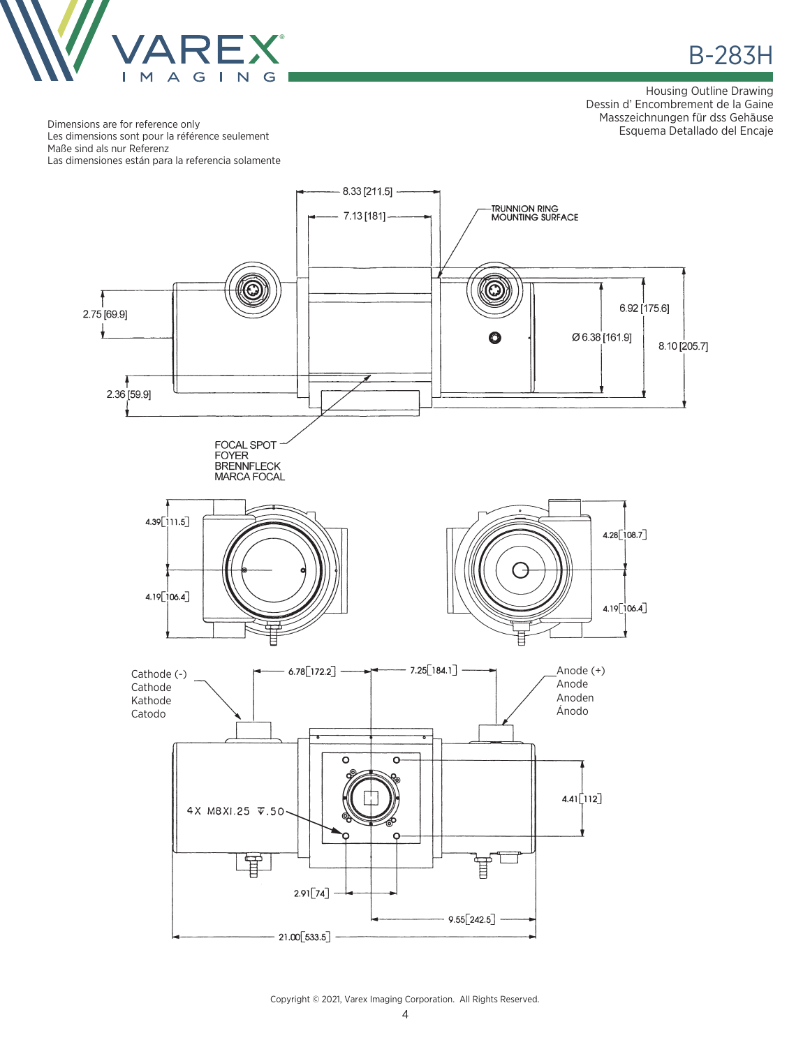

**B-283H** 

Housing Outline Drawing Dessin d'Encombrement de la Gaine Masszeichnungen für dss Gehäuse Esquema Detallado del Encaje

Dimensions are for reference only Les dimensions sont pour la référence seulement Maße sind als nur Referenz Las dimensiones están para la referencia solamente



Copyright © 2021, Varex Imaging Corporation. All Rights Reserved.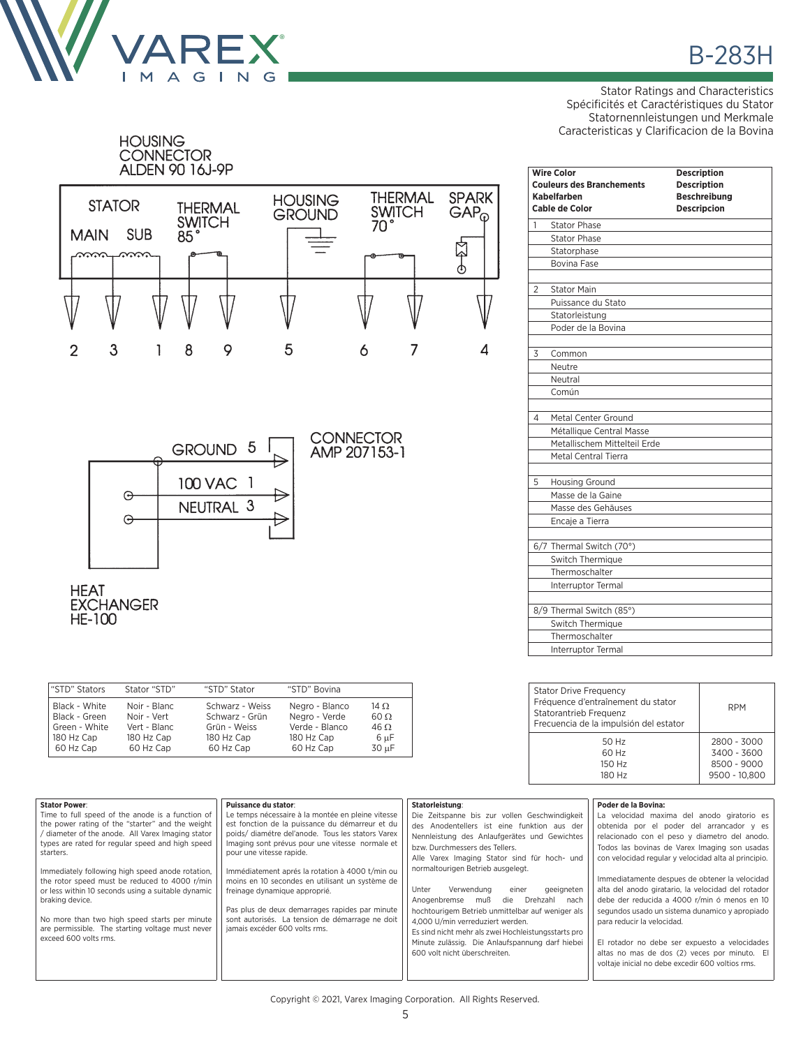

Stator Ratings and Characteristics Spécificités et Caractéristiques du Stator Statornennleistungen und Merkmale Caracteristicas y Clarificacion de la Bovina

| <b>HOUSING</b><br><b>CONNECTOR</b>                         | ALDEN 90 16J-9P                         |                                 |                                        |                                            |
|------------------------------------------------------------|-----------------------------------------|---------------------------------|----------------------------------------|--------------------------------------------|
| <b>STATOR</b><br><b>SUB</b><br><b>MAIN</b><br>nn           | <b>THERMAL</b><br><b>SWITCH</b><br>85°  | <b>HOUSING</b><br><b>GROUND</b> | <b>THERMAL</b><br>SWITCH <sub>70</sub> | <b>SPARK</b><br>$GAP_{\odot}$<br><b>AA</b> |
|                                                            |                                         |                                 |                                        |                                            |
| 3<br>$\overline{2}$<br>1                                   | 8<br>9                                  | 5                               | 6<br>7                                 | 4                                          |
| ⊕<br>⊖<br><b>HEAT</b><br><b>EXCHANGER</b><br><b>HE-100</b> | <b>GROUND</b><br>100 VAC 1<br>NEUTRAL 3 | 5 <sub>5</sub>                  | <b>CONNECTOR</b><br>AMP 207153-1       |                                            |

| "STD" Stators | Stator "STD" | "STD" Stator    | "STD" Bovina   |             |
|---------------|--------------|-----------------|----------------|-------------|
| Black - White | Noir - Blanc | Schwarz - Weiss | Negro - Blanco | 14 $\Omega$ |
| Black - Green | Noir - Vert  | Schwarz - Grün  | Negro - Verde  | $60 \Omega$ |
| Green - White | Vert - Blanc | Grün - Weiss    | Verde - Blanco | $46 \Omega$ |
| 180 Hz Cap    | 180 Hz Cap   | 180 Hz Cap      | 180 Hz Cap     | $6 \mu F$   |
| 60 Hz Cap     | 60 Hz Cap    | 60 Hz Cap       | 60 Hz Cap      | 30 uF       |

|                | <b>Wire Color</b><br><b>Couleurs des Branchements</b><br>Kabelfarben | <b>Description</b><br><b>Description</b><br><b>Beschreibung</b> |
|----------------|----------------------------------------------------------------------|-----------------------------------------------------------------|
|                | Cable de Color                                                       | <b>Descripcion</b>                                              |
| 1              | <b>Stator Phase</b>                                                  |                                                                 |
|                | <b>Stator Phase</b>                                                  |                                                                 |
|                | Statorphase                                                          |                                                                 |
|                | <b>Bovina Fase</b>                                                   |                                                                 |
| $\overline{2}$ | <b>Stator Main</b>                                                   |                                                                 |
|                | Puissance du Stato                                                   |                                                                 |
|                | Statorleistung                                                       |                                                                 |
|                | Poder de la Bovina                                                   |                                                                 |
| 3              | Common                                                               |                                                                 |
|                | Neutre                                                               |                                                                 |
|                | Neutral                                                              |                                                                 |
|                | Común                                                                |                                                                 |
| 4              | Metal Center Ground                                                  |                                                                 |
|                | Métallique Central Masse                                             |                                                                 |
|                | Metallischem Mittelteil Erde                                         |                                                                 |
|                | Metal Central Tierra                                                 |                                                                 |
| 5              | <b>Housing Ground</b>                                                |                                                                 |
|                | Masse de la Gaine                                                    |                                                                 |
|                | Masse des Gehäuses                                                   |                                                                 |
|                | Encaje a Tierra                                                      |                                                                 |
|                | 6/7 Thermal Switch (70°)                                             |                                                                 |
|                | Switch Thermique                                                     |                                                                 |
|                | Thermoschalter                                                       |                                                                 |
|                | Interruptor Termal                                                   |                                                                 |
|                | 8/9 Thermal Switch (85°)                                             |                                                                 |
|                | Switch Thermique                                                     |                                                                 |
|                | Thermoschalter                                                       |                                                                 |
|                | Interruptor Termal                                                   |                                                                 |
|                |                                                                      |                                                                 |

| <b>Stator Drive Frequency</b><br>Fréquence d'entraînement du stator<br>Statorantrieb Frequenz<br>Frecuencia de la impulsión del estator | <b>RPM</b>    |
|-----------------------------------------------------------------------------------------------------------------------------------------|---------------|
| 50 Hz                                                                                                                                   | 2800 - 3000   |
| 60 Hz                                                                                                                                   | 3400 - 3600   |
| 150 Hz                                                                                                                                  | 8500 - 9000   |
| 180 Hz                                                                                                                                  | 9500 - 10,800 |

| <b>Stator Power:</b>                                                      | Puissance du stator:                                                        | Statorleistung:                                     | Poder de la Bovina:                                  |
|---------------------------------------------------------------------------|-----------------------------------------------------------------------------|-----------------------------------------------------|------------------------------------------------------|
| Time to full speed of the anode is a function of                          | Le temps nécessaire à la montée en pleine vitesse                           | Die Zeitspanne bis zur vollen Geschwindigkeit       | La velocidad maxima del anodo giratorio es           |
| the power rating of the "starter" and the weight                          | est fonction de la puissance du démarreur et du                             | des Anodentellers ist eine funktion aus der         | obtenida por el poder del arrancador y es            |
| / diameter of the anode. All Varex Imaging stator                         | poids/ diamétre del'anode. Tous les stators Varex                           | Nennleistung des Anlaufgerätes und Gewichtes        | relacionado con el peso y diametro del anodo.        |
| types are rated for regular speed and high speed<br>starters.             | Imaging sont prévus pour une vitesse normale et<br>pour une vitesse rapide. | bzw. Durchmessers des Tellers.                      | Todos las bovinas de Varex Imaging son usadas        |
|                                                                           |                                                                             | Alle Varex Imaging Stator sind für hoch- und        | con velocidad regular y velocidad alta al principio. |
| Immediately following high speed anode rotation,                          | Immédiatement aprés la rotation à 4000 t/min ou                             | normaltourigen Betrieb ausgelegt.                   |                                                      |
| the rotor speed must be reduced to 4000 r/min                             | moins en 10 secondes en utilisant un système de                             |                                                     | Immediatamente despues de obtener la velocidad       |
| or less within 10 seconds using a suitable dynamic                        | freinage dynamique approprié.                                               | Unter<br>Verwendung<br>geeigneten<br>einer          | alta del anodo giratario, la velocidad del rotador   |
| braking device.                                                           |                                                                             | Anogenbremse<br>muß<br>Drehzahl<br>die<br>nach      | debe der reducida a 4000 r/min ó menos en 10         |
|                                                                           | Pas plus de deux demarrages rapides par minute                              | hochtourigem Betrieb unmittelbar auf weniger als    | segundos usado un sistema dunamico y apropiado       |
| No more than two high speed starts per minute                             | sont autorisés. La tension de démarrage ne doit                             | 4.000 U/min verreduziert werden.                    | para reducir la velocidad.                           |
| are permissible. The starting voltage must never<br>exceed 600 volts rms. | jamais excéder 600 volts rms.                                               | Es sind nicht mehr als zwei Hochleistungsstarts pro |                                                      |
|                                                                           |                                                                             | Minute zulässig. Die Anlaufspannung darf hiebei     | El rotador no debe ser expuesto a velocidades        |
|                                                                           |                                                                             | 600 volt nicht überschreiten.                       | altas no mas de dos (2) veces por minuto. El         |
|                                                                           |                                                                             |                                                     | voltaje inicial no debe excedir 600 voltios rms.     |
|                                                                           |                                                                             |                                                     |                                                      |